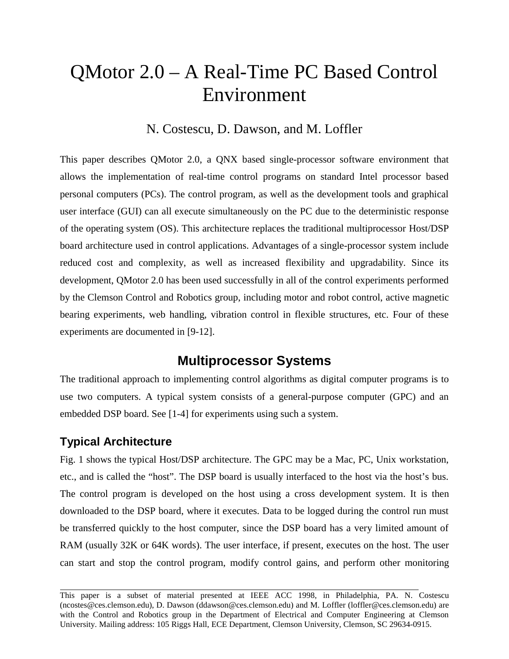# QMotor 2.0 – A Real-Time PC Based Control Environment

N. Costescu, D. Dawson, and M. Loffler

This paper describes QMotor 2.0, a QNX based single-processor software environment that allows the implementation of real-time control programs on standard Intel processor based personal computers (PCs). The control program, as well as the development tools and graphical user interface (GUI) can all execute simultaneously on the PC due to the deterministic response of the operating system (OS). This architecture replaces the traditional multiprocessor Host/DSP board architecture used in control applications. Advantages of a single-processor system include reduced cost and complexity, as well as increased flexibility and upgradability. Since its development, QMotor 2.0 has been used successfully in all of the control experiments performed by the Clemson Control and Robotics group, including motor and robot control, active magnetic bearing experiments, web handling, vibration control in flexible structures, etc. Four of these experiments are documented in [9-12].

# **Multiprocessor Systems**

The traditional approach to implementing control algorithms as digital computer programs is to use two computers. A typical system consists of a general-purpose computer (GPC) and an embedded DSP board. See [1-4] for experiments using such a system.

# **Typical Architecture**

l

Fig. 1 shows the typical Host/DSP architecture. The GPC may be a Mac, PC, Unix workstation, etc., and is called the "host". The DSP board is usually interfaced to the host via the host's bus. The control program is developed on the host using a cross development system. It is then downloaded to the DSP board, where it executes. Data to be logged during the control run must be transferred quickly to the host computer, since the DSP board has a very limited amount of RAM (usually 32K or 64K words). The user interface, if present, executes on the host. The user can start and stop the control program, modify control gains, and perform other monitoring

This paper is a subset of material presented at IEEE ACC 1998, in Philadelphia, PA. N. Costescu (ncostes@ces.clemson.edu), D. Dawson (ddawson@ces.clemson.edu) and M. Loffler (loffler@ces.clemson.edu) are with the Control and Robotics group in the Department of Electrical and Computer Engineering at Clemson University. Mailing address: 105 Riggs Hall, ECE Department, Clemson University, Clemson, SC 29634-0915.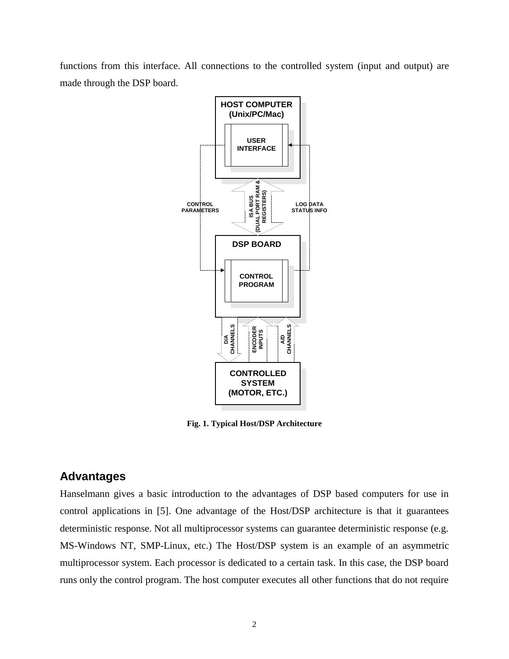functions from this interface. All connections to the controlled system (input and output) are made through the DSP board.



**Fig. 1. Typical Host/DSP Architecture**

# **Advantages**

Hanselmann gives a basic introduction to the advantages of DSP based computers for use in control applications in [5]. One advantage of the Host/DSP architecture is that it guarantees deterministic response. Not all multiprocessor systems can guarantee deterministic response (e.g. MS-Windows NT, SMP-Linux, etc.) The Host/DSP system is an example of an asymmetric multiprocessor system. Each processor is dedicated to a certain task. In this case, the DSP board runs only the control program. The host computer executes all other functions that do not require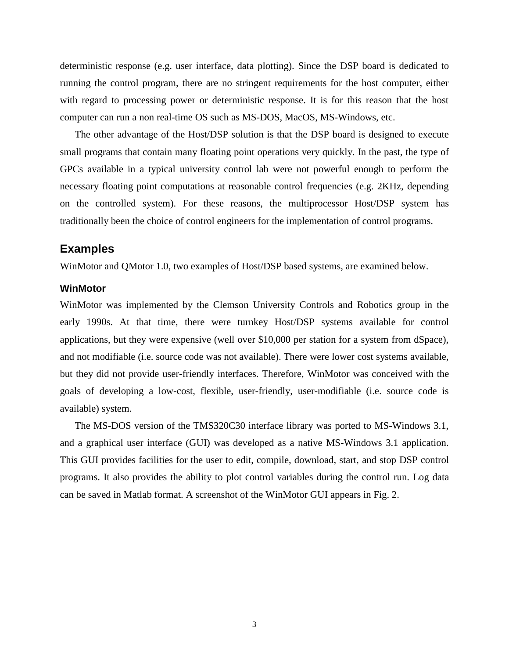deterministic response (e.g. user interface, data plotting). Since the DSP board is dedicated to running the control program, there are no stringent requirements for the host computer, either with regard to processing power or deterministic response. It is for this reason that the host computer can run a non real-time OS such as MS-DOS, MacOS, MS-Windows, etc.

The other advantage of the Host/DSP solution is that the DSP board is designed to execute small programs that contain many floating point operations very quickly. In the past, the type of GPCs available in a typical university control lab were not powerful enough to perform the necessary floating point computations at reasonable control frequencies (e.g. 2KHz, depending on the controlled system). For these reasons, the multiprocessor Host/DSP system has traditionally been the choice of control engineers for the implementation of control programs.

#### **Examples**

WinMotor and QMotor 1.0, two examples of Host/DSP based systems, are examined below.

#### **WinMotor**

WinMotor was implemented by the Clemson University Controls and Robotics group in the early 1990s. At that time, there were turnkey Host/DSP systems available for control applications, but they were expensive (well over \$10,000 per station for a system from dSpace), and not modifiable (i.e. source code was not available). There were lower cost systems available, but they did not provide user-friendly interfaces. Therefore, WinMotor was conceived with the goals of developing a low-cost, flexible, user-friendly, user-modifiable (i.e. source code is available) system.

The MS-DOS version of the TMS320C30 interface library was ported to MS-Windows 3.1, and a graphical user interface (GUI) was developed as a native MS-Windows 3.1 application. This GUI provides facilities for the user to edit, compile, download, start, and stop DSP control programs. It also provides the ability to plot control variables during the control run. Log data can be saved in Matlab format. A screenshot of the WinMotor GUI appears in Fig. 2.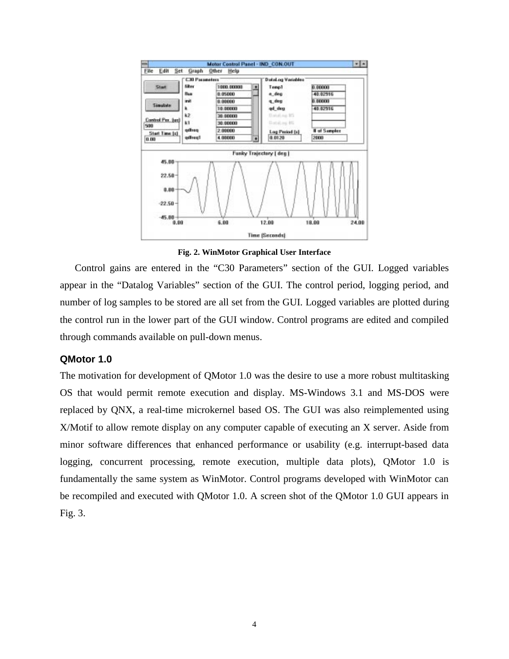

**Fig. 2. WinMotor Graphical User Interface**

Control gains are entered in the "C30 Parameters" section of the GUI. Logged variables appear in the "Datalog Variables" section of the GUI. The control period, logging period, and number of log samples to be stored are all set from the GUI. Logged variables are plotted during the control run in the lower part of the GUI window. Control programs are edited and compiled through commands available on pull-down menus.

#### **QMotor 1.0**

The motivation for development of QMotor 1.0 was the desire to use a more robust multitasking OS that would permit remote execution and display. MS-Windows 3.1 and MS-DOS were replaced by QNX, a real-time microkernel based OS. The GUI was also reimplemented using X/Motif to allow remote display on any computer capable of executing an X server. Aside from minor software differences that enhanced performance or usability (e.g. interrupt-based data logging, concurrent processing, remote execution, multiple data plots), QMotor 1.0 is fundamentally the same system as WinMotor. Control programs developed with WinMotor can be recompiled and executed with QMotor 1.0. A screen shot of the QMotor 1.0 GUI appears in Fig. 3.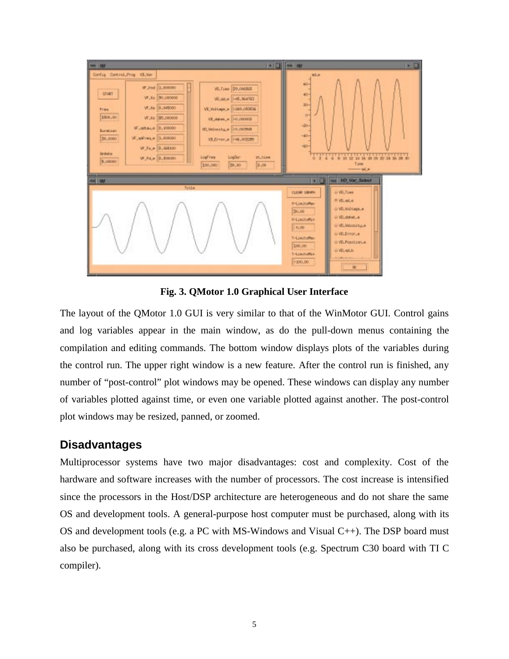

**Fig. 3. QMotor 1.0 Graphical User Interface**

The layout of the QMotor 1.0 GUI is very similar to that of the WinMotor GUI. Control gains and log variables appear in the main window, as do the pull-down menus containing the compilation and editing commands. The bottom window displays plots of the variables during the control run. The upper right window is a new feature. After the control run is finished, any number of "post-control" plot windows may be opened. These windows can display any number of variables plotted against time, or even one variable plotted against another. The post-control plot windows may be resized, panned, or zoomed.

## **Disadvantages**

Multiprocessor systems have two major disadvantages: cost and complexity. Cost of the hardware and software increases with the number of processors. The cost increase is intensified since the processors in the Host/DSP architecture are heterogeneous and do not share the same OS and development tools. A general-purpose host computer must be purchased, along with its OS and development tools (e.g. a PC with MS-Windows and Visual  $C_{++}$ ). The DSP board must also be purchased, along with its cross development tools (e.g. Spectrum C30 board with TI C compiler).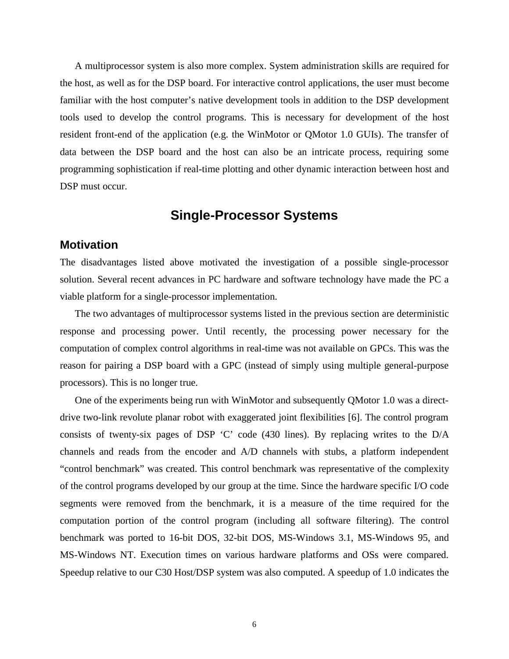A multiprocessor system is also more complex. System administration skills are required for the host, as well as for the DSP board. For interactive control applications, the user must become familiar with the host computer's native development tools in addition to the DSP development tools used to develop the control programs. This is necessary for development of the host resident front-end of the application (e.g. the WinMotor or QMotor 1.0 GUIs). The transfer of data between the DSP board and the host can also be an intricate process, requiring some programming sophistication if real-time plotting and other dynamic interaction between host and DSP must occur.

# **Single-Processor Systems**

## **Motivation**

The disadvantages listed above motivated the investigation of a possible single-processor solution. Several recent advances in PC hardware and software technology have made the PC a viable platform for a single-processor implementation.

The two advantages of multiprocessor systems listed in the previous section are deterministic response and processing power. Until recently, the processing power necessary for the computation of complex control algorithms in real-time was not available on GPCs. This was the reason for pairing a DSP board with a GPC (instead of simply using multiple general-purpose processors). This is no longer true.

One of the experiments being run with WinMotor and subsequently QMotor 1.0 was a directdrive two-link revolute planar robot with exaggerated joint flexibilities [6]. The control program consists of twenty-six pages of DSP 'C' code (430 lines). By replacing writes to the D/A channels and reads from the encoder and A/D channels with stubs, a platform independent "control benchmark" was created. This control benchmark was representative of the complexity of the control programs developed by our group at the time. Since the hardware specific I/O code segments were removed from the benchmark, it is a measure of the time required for the computation portion of the control program (including all software filtering). The control benchmark was ported to 16-bit DOS, 32-bit DOS, MS-Windows 3.1, MS-Windows 95, and MS-Windows NT. Execution times on various hardware platforms and OSs were compared. Speedup relative to our C30 Host/DSP system was also computed. A speedup of 1.0 indicates the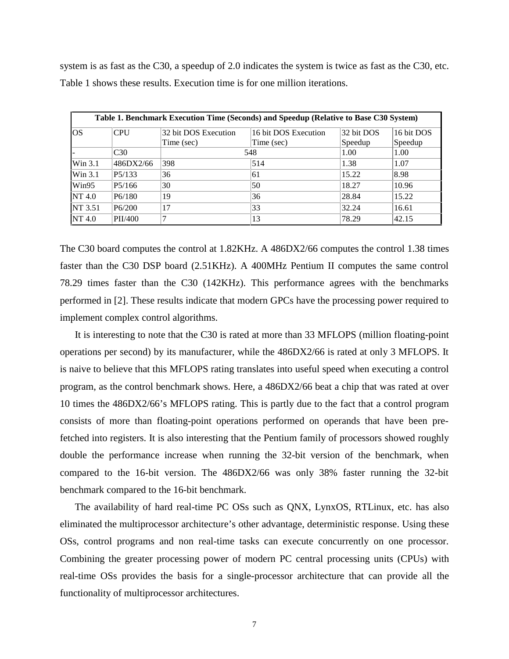system is as fast as the C30, a speedup of 2.0 indicates the system is twice as fast as the C30, etc. Table 1 shows these results. Execution time is for one million iterations.

| Table 1. Benchmark Execution Time (Seconds) and Speedup (Relative to Base C30 System) |                     |                      |                      |            |            |  |  |
|---------------------------------------------------------------------------------------|---------------------|----------------------|----------------------|------------|------------|--|--|
| <b>OS</b>                                                                             | CPU                 | 32 bit DOS Execution | 16 bit DOS Execution | 32 bit DOS | 16 bit DOS |  |  |
|                                                                                       |                     | Time (sec)           | Time (sec)           | Speedup    | Speedup    |  |  |
|                                                                                       | C <sub>30</sub>     | 548                  |                      | 1.00       | 1.00       |  |  |
| Win 3.1                                                                               | 486DX2/66           | 398                  | 514                  | 1.38       | 1.07       |  |  |
| Win 3.1                                                                               | P <sub>5</sub> /133 | 36                   | 61                   | 15.22      | 8.98       |  |  |
| Win95                                                                                 | P5/166              | 30                   | 50                   | 18.27      | 10.96      |  |  |
| NT 4.0                                                                                | P <sub>6</sub> /180 | 19                   | 36                   | 28.84      | 15.22      |  |  |
| NT 3.51                                                                               | P6/200              | 17                   | 33                   | 32.24      | 16.61      |  |  |
| NT 4.0                                                                                | PII/400             |                      | 13                   | 78.29      | 42.15      |  |  |

The C30 board computes the control at 1.82KHz. A 486DX2/66 computes the control 1.38 times faster than the C30 DSP board (2.51KHz). A 400MHz Pentium II computes the same control 78.29 times faster than the C30 (142KHz). This performance agrees with the benchmarks performed in [2]. These results indicate that modern GPCs have the processing power required to implement complex control algorithms.

It is interesting to note that the C30 is rated at more than 33 MFLOPS (million floating-point operations per second) by its manufacturer, while the 486DX2/66 is rated at only 3 MFLOPS. It is naive to believe that this MFLOPS rating translates into useful speed when executing a control program, as the control benchmark shows. Here, a 486DX2/66 beat a chip that was rated at over 10 times the 486DX2/66's MFLOPS rating. This is partly due to the fact that a control program consists of more than floating-point operations performed on operands that have been prefetched into registers. It is also interesting that the Pentium family of processors showed roughly double the performance increase when running the 32-bit version of the benchmark, when compared to the 16-bit version. The 486DX2/66 was only 38% faster running the 32-bit benchmark compared to the 16-bit benchmark.

The availability of hard real-time PC OSs such as QNX, LynxOS, RTLinux, etc. has also eliminated the multiprocessor architecture's other advantage, deterministic response. Using these OSs, control programs and non real-time tasks can execute concurrently on one processor. Combining the greater processing power of modern PC central processing units (CPUs) with real-time OSs provides the basis for a single-processor architecture that can provide all the functionality of multiprocessor architectures.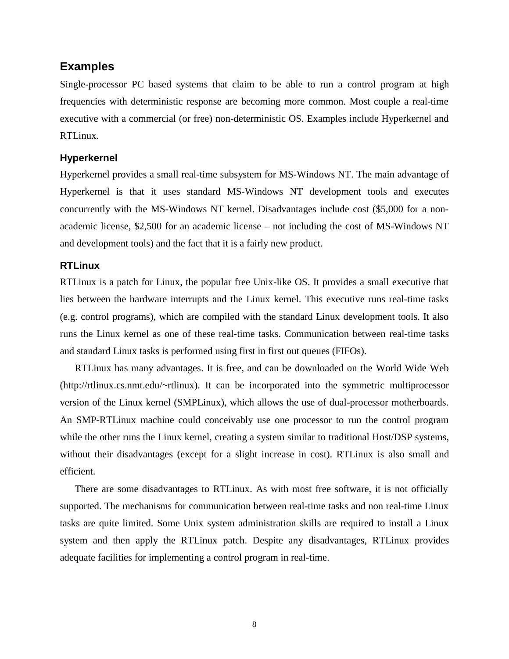## **Examples**

Single-processor PC based systems that claim to be able to run a control program at high frequencies with deterministic response are becoming more common. Most couple a real-time executive with a commercial (or free) non-deterministic OS. Examples include Hyperkernel and RTLinux.

#### **Hyperkernel**

Hyperkernel provides a small real-time subsystem for MS-Windows NT. The main advantage of Hyperkernel is that it uses standard MS-Windows NT development tools and executes concurrently with the MS-Windows NT kernel. Disadvantages include cost (\$5,000 for a nonacademic license, \$2,500 for an academic license – not including the cost of MS-Windows NT and development tools) and the fact that it is a fairly new product.

#### **RTLinux**

RTLinux is a patch for Linux, the popular free Unix-like OS. It provides a small executive that lies between the hardware interrupts and the Linux kernel. This executive runs real-time tasks (e.g. control programs), which are compiled with the standard Linux development tools. It also runs the Linux kernel as one of these real-time tasks. Communication between real-time tasks and standard Linux tasks is performed using first in first out queues (FIFOs).

RTLinux has many advantages. It is free, and can be downloaded on the World Wide Web (http://rtlinux.cs.nmt.edu/~rtlinux). It can be incorporated into the symmetric multiprocessor version of the Linux kernel (SMPLinux), which allows the use of dual-processor motherboards. An SMP-RTLinux machine could conceivably use one processor to run the control program while the other runs the Linux kernel, creating a system similar to traditional Host/DSP systems, without their disadvantages (except for a slight increase in cost). RTLinux is also small and efficient.

There are some disadvantages to RTLinux. As with most free software, it is not officially supported. The mechanisms for communication between real-time tasks and non real-time Linux tasks are quite limited. Some Unix system administration skills are required to install a Linux system and then apply the RTLinux patch. Despite any disadvantages, RTLinux provides adequate facilities for implementing a control program in real-time.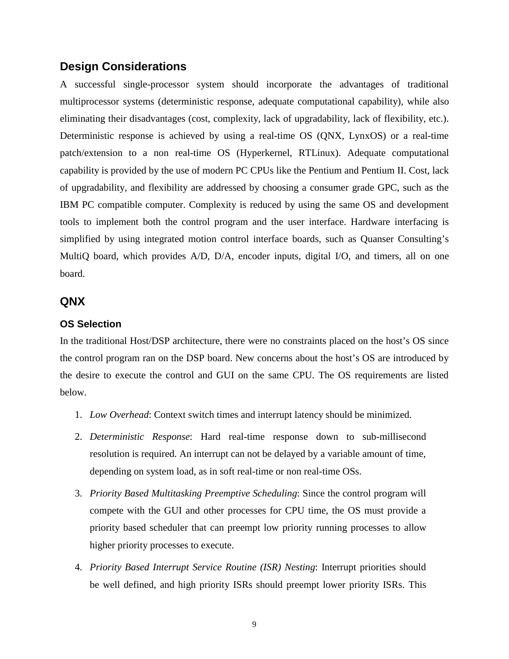## **Design Considerations**

A successful single-processor system should incorporate the advantages of traditional multiprocessor systems (deterministic response, adequate computational capability), while also eliminating their disadvantages (cost, complexity, lack of upgradability, lack of flexibility, etc.). Deterministic response is achieved by using a real-time OS (QNX, LynxOS) or a real-time patch/extension to a non real-time OS (Hyperkernel, RTLinux). Adequate computational capability is provided by the use of modern PC CPUs like the Pentium and Pentium II. Cost, lack of upgradability, and flexibility are addressed by choosing a consumer grade GPC, such as the IBM PC compatible computer. Complexity is reduced by using the same OS and development tools to implement both the control program and the user interface. Hardware interfacing is simplified by using integrated motion control interface boards, such as Quanser Consulting's MultiQ board, which provides A/D, D/A, encoder inputs, digital I/O, and timers, all on one board.

## **QNX**

#### **OS Selection**

In the traditional Host/DSP architecture, there were no constraints placed on the host's OS since the control program ran on the DSP board. New concerns about the host's OS are introduced by the desire to execute the control and GUI on the same CPU. The OS requirements are listed below.

- 1. *Low Overhead*: Context switch times and interrupt latency should be minimized.
- 2. *Deterministic Response*: Hard real-time response down to sub-millisecond resolution is required. An interrupt can not be delayed by a variable amount of time, depending on system load, as in soft real-time or non real-time OSs.
- 3. *Priority Based Multitasking Preemptive Scheduling*: Since the control program will compete with the GUI and other processes for CPU time, the OS must provide a priority based scheduler that can preempt low priority running processes to allow higher priority processes to execute.
- 4. *Priority Based Interrupt Service Routine (ISR) Nesting*: Interrupt priorities should be well defined, and high priority ISRs should preempt lower priority ISRs. This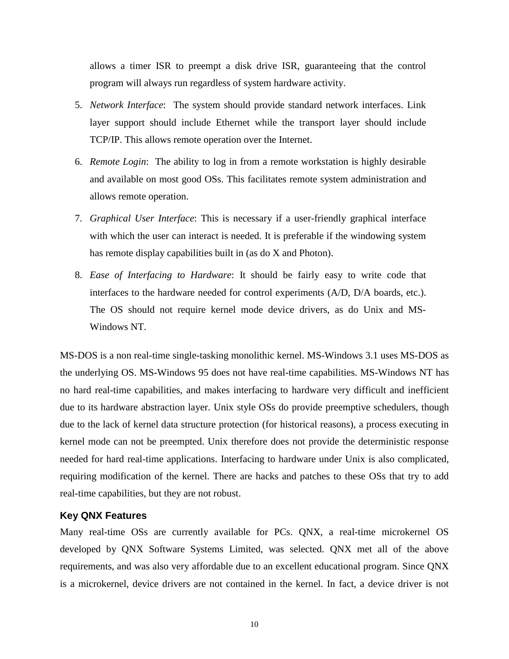allows a timer ISR to preempt a disk drive ISR, guaranteeing that the control program will always run regardless of system hardware activity.

- 5. *Network Interface*: The system should provide standard network interfaces. Link layer support should include Ethernet while the transport layer should include TCP/IP. This allows remote operation over the Internet.
- 6. *Remote Login*: The ability to log in from a remote workstation is highly desirable and available on most good OSs. This facilitates remote system administration and allows remote operation.
- 7. *Graphical User Interface*: This is necessary if a user-friendly graphical interface with which the user can interact is needed. It is preferable if the windowing system has remote display capabilities built in (as do X and Photon).
- 8. *Ease of Interfacing to Hardware*: It should be fairly easy to write code that interfaces to the hardware needed for control experiments (A/D, D/A boards, etc.). The OS should not require kernel mode device drivers, as do Unix and MS-Windows NT.

MS-DOS is a non real-time single-tasking monolithic kernel. MS-Windows 3.1 uses MS-DOS as the underlying OS. MS-Windows 95 does not have real-time capabilities. MS-Windows NT has no hard real-time capabilities, and makes interfacing to hardware very difficult and inefficient due to its hardware abstraction layer. Unix style OSs do provide preemptive schedulers, though due to the lack of kernel data structure protection (for historical reasons), a process executing in kernel mode can not be preempted. Unix therefore does not provide the deterministic response needed for hard real-time applications. Interfacing to hardware under Unix is also complicated, requiring modification of the kernel. There are hacks and patches to these OSs that try to add real-time capabilities, but they are not robust.

#### **Key QNX Features**

Many real-time OSs are currently available for PCs. QNX, a real-time microkernel OS developed by QNX Software Systems Limited, was selected. QNX met all of the above requirements, and was also very affordable due to an excellent educational program. Since QNX is a microkernel, device drivers are not contained in the kernel. In fact, a device driver is not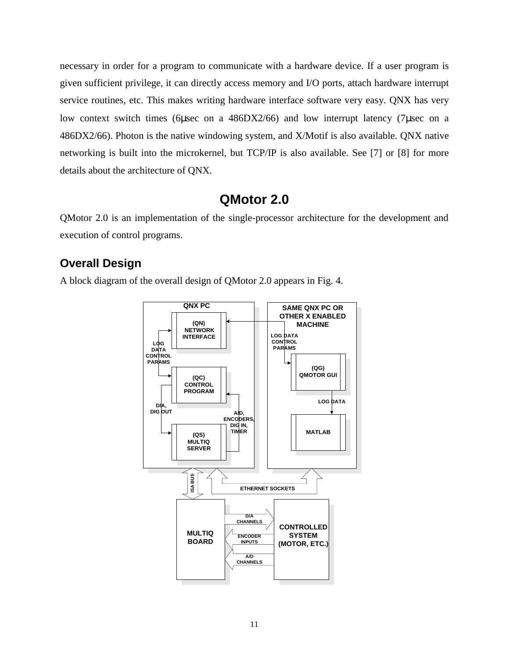necessary in order for a program to communicate with a hardware device. If a user program is given sufficient privilege, it can directly access memory and I/O ports, attach hardware interrupt service routines, etc. This makes writing hardware interface software very easy. QNX has very low context switch times (6µsec on a 486DX2/66) and low interrupt latency (7µsec on a 486DX2/66). Photon is the native windowing system, and X/Motif is also available. QNX native networking is built into the microkernel, but TCP/IP is also available. See [7] or [8] for more details about the architecture of QNX.

# **QMotor 2.0**

QMotor 2.0 is an implementation of the single-processor architecture for the development and execution of control programs.

## **Overall Design**

A block diagram of the overall design of QMotor 2.0 appears in Fig. 4.

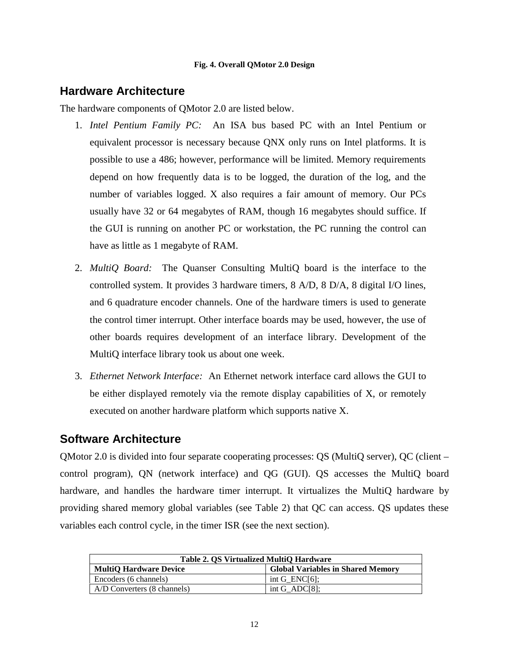#### **Fig. 4. Overall QMotor 2.0 Design**

## **Hardware Architecture**

The hardware components of QMotor 2.0 are listed below.

- 1. *Intel Pentium Family PC:* An ISA bus based PC with an Intel Pentium or equivalent processor is necessary because QNX only runs on Intel platforms. It is possible to use a 486; however, performance will be limited. Memory requirements depend on how frequently data is to be logged, the duration of the log, and the number of variables logged. X also requires a fair amount of memory. Our PCs usually have 32 or 64 megabytes of RAM, though 16 megabytes should suffice. If the GUI is running on another PC or workstation, the PC running the control can have as little as 1 megabyte of RAM.
- 2. *MultiQ Board:* The Quanser Consulting MultiQ board is the interface to the controlled system. It provides 3 hardware timers, 8 A/D, 8 D/A, 8 digital I/O lines, and 6 quadrature encoder channels. One of the hardware timers is used to generate the control timer interrupt. Other interface boards may be used, however, the use of other boards requires development of an interface library. Development of the MultiQ interface library took us about one week.
- 3. *Ethernet Network Interface:* An Ethernet network interface card allows the GUI to be either displayed remotely via the remote display capabilities of X, or remotely executed on another hardware platform which supports native X.

# **Software Architecture**

QMotor 2.0 is divided into four separate cooperating processes: QS (MultiQ server), QC (client – control program), QN (network interface) and QG (GUI). QS accesses the MultiQ board hardware, and handles the hardware timer interrupt. It virtualizes the MultiQ hardware by providing shared memory global variables (see Table 2) that QC can access. QS updates these variables each control cycle, in the timer ISR (see the next section).

| Table 2. QS Virtualized MultiQ Hardware |                                          |  |  |  |
|-----------------------------------------|------------------------------------------|--|--|--|
| <b>MultiO Hardware Device</b>           | <b>Global Variables in Shared Memory</b> |  |  |  |
| Encoders (6 channels)                   | int G $ENCI6$ :                          |  |  |  |
| A/D Converters (8 channels)             | int $G$ _ADC[8];                         |  |  |  |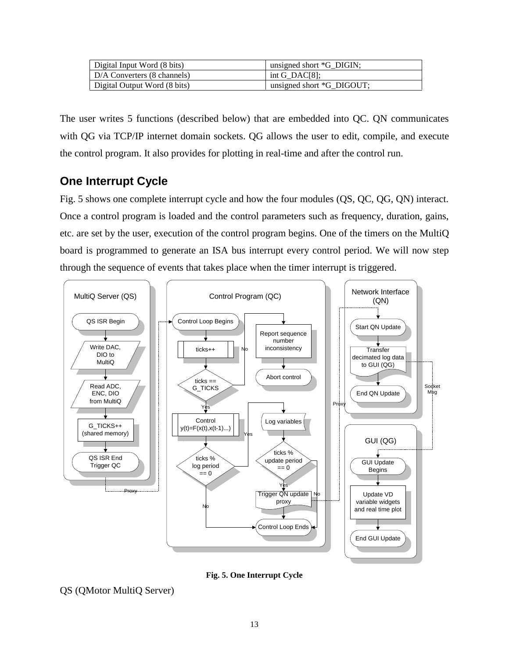| Digital Input Word (8 bits)  | unsigned short *G_DIGIN;  |
|------------------------------|---------------------------|
| D/A Converters (8 channels)  | int G DAC[8]:             |
| Digital Output Word (8 bits) | unsigned short *G_DIGOUT; |

The user writes 5 functions (described below) that are embedded into QC. QN communicates with QG via TCP/IP internet domain sockets. QG allows the user to edit, compile, and execute the control program. It also provides for plotting in real-time and after the control run.

# **One Interrupt Cycle**

Fig. 5 shows one complete interrupt cycle and how the four modules (QS, QC, QG, QN) interact. Once a control program is loaded and the control parameters such as frequency, duration, gains, etc. are set by the user, execution of the control program begins. One of the timers on the MultiQ board is programmed to generate an ISA bus interrupt every control period. We will now step through the sequence of events that takes place when the timer interrupt is triggered.



**Fig. 5. One Interrupt Cycle**

QS (QMotor MultiQ Server)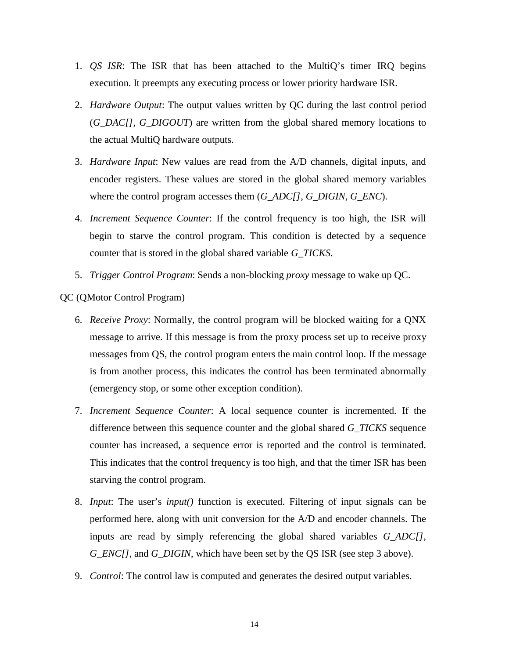- 1. *QS ISR*: The ISR that has been attached to the MultiQ's timer IRQ begins execution. It preempts any executing process or lower priority hardware ISR.
- 2. *Hardware Output*: The output values written by QC during the last control period (*G\_DAC[], G\_DIGOUT*) are written from the global shared memory locations to the actual MultiQ hardware outputs.
- 3. *Hardware Input*: New values are read from the A/D channels, digital inputs, and encoder registers. These values are stored in the global shared memory variables where the control program accesses them (*G\_ADC[]*, *G\_DIGIN*, *G\_ENC*).
- 4. *Increment Sequence Counter*: If the control frequency is too high, the ISR will begin to starve the control program. This condition is detected by a sequence counter that is stored in the global shared variable *G\_TICKS*.
- 5. *Trigger Control Program*: Sends a non-blocking *proxy* message to wake up QC.

QC (QMotor Control Program)

- 6. *Receive Proxy*: Normally, the control program will be blocked waiting for a QNX message to arrive. If this message is from the proxy process set up to receive proxy messages from QS, the control program enters the main control loop. If the message is from another process, this indicates the control has been terminated abnormally (emergency stop, or some other exception condition).
- 7. *Increment Sequence Counter*: A local sequence counter is incremented. If the difference between this sequence counter and the global shared *G\_TICKS* sequence counter has increased, a sequence error is reported and the control is terminated. This indicates that the control frequency is too high, and that the timer ISR has been starving the control program.
- 8. *Input*: The user's *input()* function is executed. Filtering of input signals can be performed here, along with unit conversion for the A/D and encoder channels. The inputs are read by simply referencing the global shared variables *G\_ADC[]*, *G\_ENC[]*, and *G\_DIGIN*, which have been set by the QS ISR (see step 3 above).
- 9. *Control*: The control law is computed and generates the desired output variables.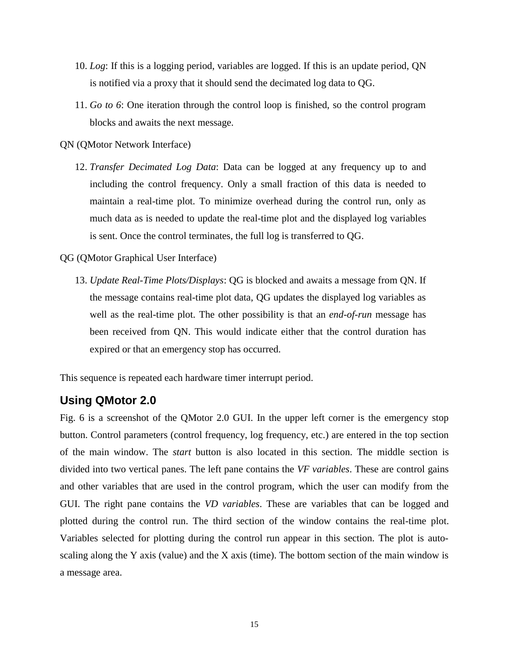- 10. *Log*: If this is a logging period, variables are logged. If this is an update period, QN is notified via a proxy that it should send the decimated log data to QG.
- 11. *Go to 6*: One iteration through the control loop is finished, so the control program blocks and awaits the next message.

QN (QMotor Network Interface)

- 12. *Transfer Decimated Log Data*: Data can be logged at any frequency up to and including the control frequency. Only a small fraction of this data is needed to maintain a real-time plot. To minimize overhead during the control run, only as much data as is needed to update the real-time plot and the displayed log variables is sent. Once the control terminates, the full log is transferred to QG.
- QG (QMotor Graphical User Interface)
	- 13. *Update Real-Time Plots/Displays*: QG is blocked and awaits a message from QN. If the message contains real-time plot data, QG updates the displayed log variables as well as the real-time plot. The other possibility is that an *end-of-run* message has been received from QN. This would indicate either that the control duration has expired or that an emergency stop has occurred.

This sequence is repeated each hardware timer interrupt period.

## **Using QMotor 2.0**

Fig. 6 is a screenshot of the QMotor 2.0 GUI. In the upper left corner is the emergency stop button. Control parameters (control frequency, log frequency, etc.) are entered in the top section of the main window. The *start* button is also located in this section. The middle section is divided into two vertical panes. The left pane contains the *VF variables*. These are control gains and other variables that are used in the control program, which the user can modify from the GUI. The right pane contains the *VD variables*. These are variables that can be logged and plotted during the control run. The third section of the window contains the real-time plot. Variables selected for plotting during the control run appear in this section. The plot is autoscaling along the Y axis (value) and the X axis (time). The bottom section of the main window is a message area.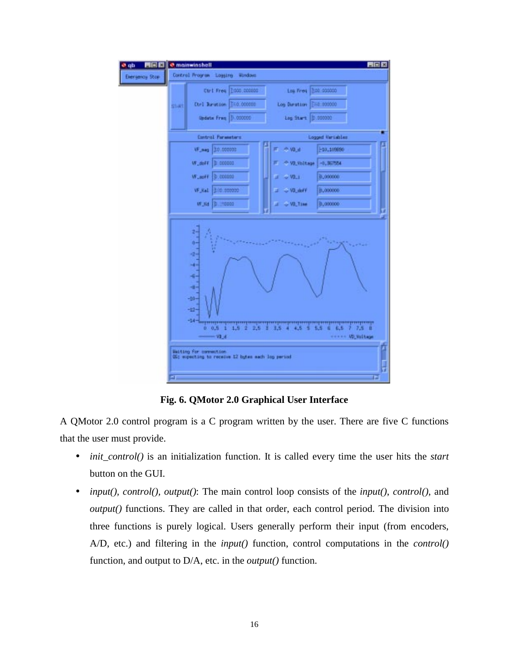

**Fig. 6. QMotor 2.0 Graphical User Interface**

A QMotor 2.0 control program is a C program written by the user. There are five C functions that the user must provide.

- *init\_control()* is an initialization function. It is called every time the user hits the *start* button on the GUI.
- *input(), control(), output()*: The main control loop consists of the *input()*, *control()*, and *output()* functions. They are called in that order, each control period. The division into three functions is purely logical. Users generally perform their input (from encoders, A/D, etc.) and filtering in the *input()* function, control computations in the *control()* function, and output to D/A, etc. in the *output()* function.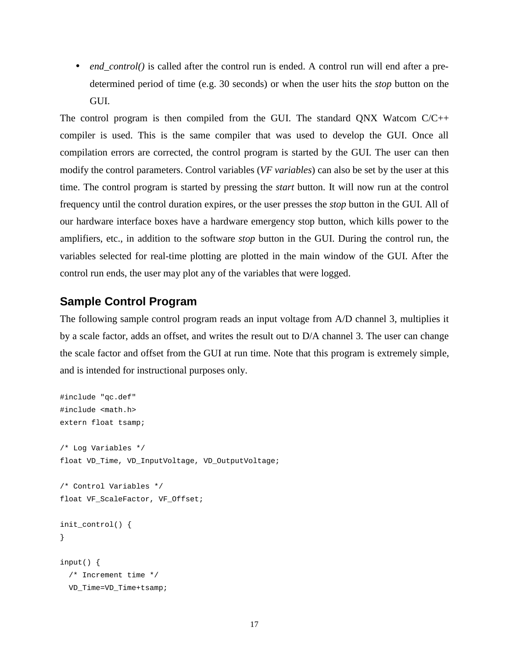• *end\_control()* is called after the control run is ended. A control run will end after a predetermined period of time (e.g. 30 seconds) or when the user hits the *stop* button on the GUI.

The control program is then compiled from the GUI. The standard QNX Watcom C/C++ compiler is used. This is the same compiler that was used to develop the GUI. Once all compilation errors are corrected, the control program is started by the GUI. The user can then modify the control parameters. Control variables (*VF variables*) can also be set by the user at this time. The control program is started by pressing the *start* button. It will now run at the control frequency until the control duration expires, or the user presses the *stop* button in the GUI. All of our hardware interface boxes have a hardware emergency stop button, which kills power to the amplifiers, etc., in addition to the software *stop* button in the GUI. During the control run, the variables selected for real-time plotting are plotted in the main window of the GUI. After the control run ends, the user may plot any of the variables that were logged.

## **Sample Control Program**

The following sample control program reads an input voltage from A/D channel 3, multiplies it by a scale factor, adds an offset, and writes the result out to D/A channel 3. The user can change the scale factor and offset from the GUI at run time. Note that this program is extremely simple, and is intended for instructional purposes only.

```
#include "qc.def"
#include <math.h>
extern float tsamp;
/* Log Variables */
float VD_Time, VD_InputVoltage, VD_OutputVoltage;
/* Control Variables */
float VF ScaleFactor, VF Offset;
init_control() {
}
input() {
   /* Increment time */
   VD_Time=VD_Time+tsamp;
```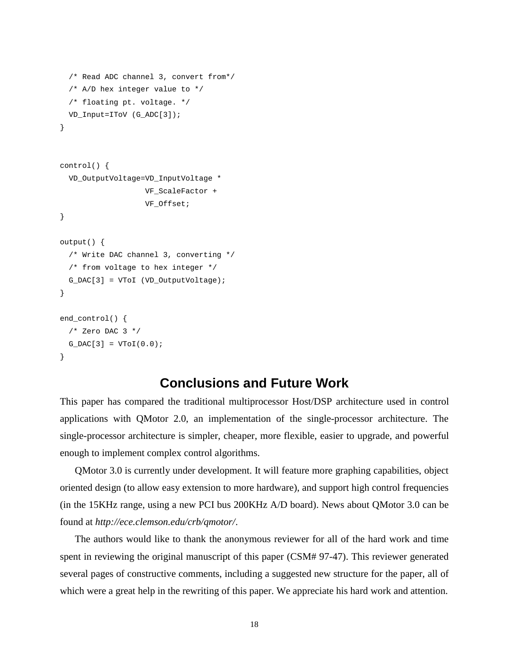```
 /* Read ADC channel 3, convert from*/
   /* A/D hex integer value to */
   /* floating pt. voltage. */
   VD_Input=IToV (G_ADC[3]);
}
control() {
```

```
 VD_OutputVoltage=VD_InputVoltage *
                     VF_ScaleFactor +
                     VF_Offset;
}
```

```
output() {
   /* Write DAC channel 3, converting */
   /* from voltage to hex integer */
 G_DAC[3] = VToI (VD_OutputVoltage);
}
```

```
end_control() {
  /* Zero DAC 3 */G_DAC[3] = VTOI(0.0);}
```
# **Conclusions and Future Work**

This paper has compared the traditional multiprocessor Host/DSP architecture used in control applications with QMotor 2.0, an implementation of the single-processor architecture. The single-processor architecture is simpler, cheaper, more flexible, easier to upgrade, and powerful enough to implement complex control algorithms.

QMotor 3.0 is currently under development. It will feature more graphing capabilities, object oriented design (to allow easy extension to more hardware), and support high control frequencies (in the 15KHz range, using a new PCI bus 200KHz A/D board). News about QMotor 3.0 can be found at *http://ece.clemson.edu/crb/qmotor/*.

The authors would like to thank the anonymous reviewer for all of the hard work and time spent in reviewing the original manuscript of this paper (CSM# 97-47). This reviewer generated several pages of constructive comments, including a suggested new structure for the paper, all of which were a great help in the rewriting of this paper. We appreciate his hard work and attention.